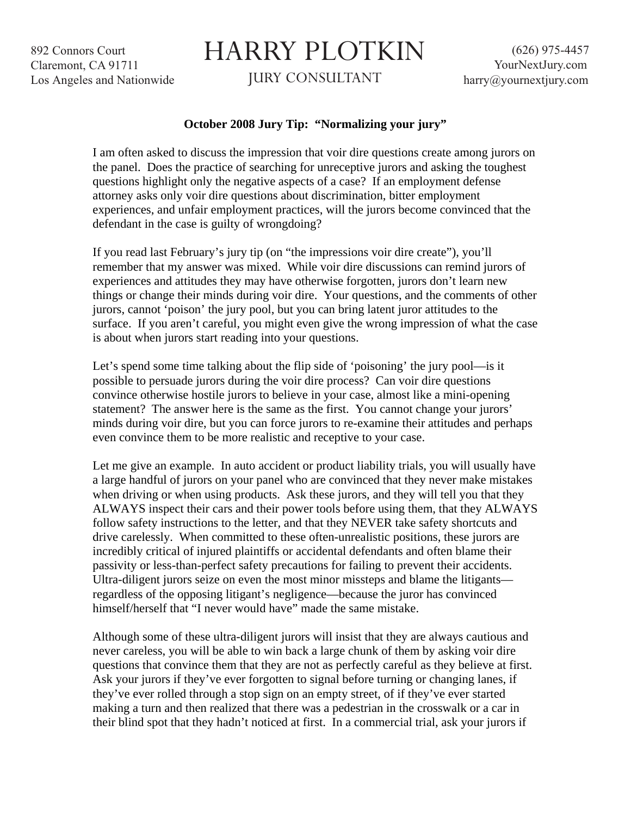892 Connors Court Claremont, CA 91711 Los Angeles and Nationwide

## HARRY PLOTKIN

JURY CONSULTANT

## **October 2008 Jury Tip: "Normalizing your jury"**

I am often asked to discuss the impression that voir dire questions create among jurors on the panel. Does the practice of searching for unreceptive jurors and asking the toughest questions highlight only the negative aspects of a case? If an employment defense attorney asks only voir dire questions about discrimination, bitter employment experiences, and unfair employment practices, will the jurors become convinced that the defendant in the case is guilty of wrongdoing?

If you read last February's jury tip (on "the impressions voir dire create"), you'll remember that my answer was mixed. While voir dire discussions can remind jurors of experiences and attitudes they may have otherwise forgotten, jurors don't learn new things or change their minds during voir dire. Your questions, and the comments of other jurors, cannot 'poison' the jury pool, but you can bring latent juror attitudes to the surface. If you aren't careful, you might even give the wrong impression of what the case is about when jurors start reading into your questions.

Let's spend some time talking about the flip side of 'poisoning' the jury pool—is it possible to persuade jurors during the voir dire process? Can voir dire questions convince otherwise hostile jurors to believe in your case, almost like a mini-opening statement? The answer here is the same as the first. You cannot change your jurors' minds during voir dire, but you can force jurors to re-examine their attitudes and perhaps even convince them to be more realistic and receptive to your case.

Let me give an example. In auto accident or product liability trials, you will usually have a large handful of jurors on your panel who are convinced that they never make mistakes when driving or when using products. Ask these jurors, and they will tell you that they ALWAYS inspect their cars and their power tools before using them, that they ALWAYS follow safety instructions to the letter, and that they NEVER take safety shortcuts and drive carelessly. When committed to these often-unrealistic positions, these jurors are incredibly critical of injured plaintiffs or accidental defendants and often blame their passivity or less-than-perfect safety precautions for failing to prevent their accidents. Ultra-diligent jurors seize on even the most minor missteps and blame the litigants regardless of the opposing litigant's negligence—because the juror has convinced himself/herself that "I never would have" made the same mistake.

Although some of these ultra-diligent jurors will insist that they are always cautious and never careless, you will be able to win back a large chunk of them by asking voir dire questions that convince them that they are not as perfectly careful as they believe at first. Ask your jurors if they've ever forgotten to signal before turning or changing lanes, if they've ever rolled through a stop sign on an empty street, of if they've ever started making a turn and then realized that there was a pedestrian in the crosswalk or a car in their blind spot that they hadn't noticed at first. In a commercial trial, ask your jurors if